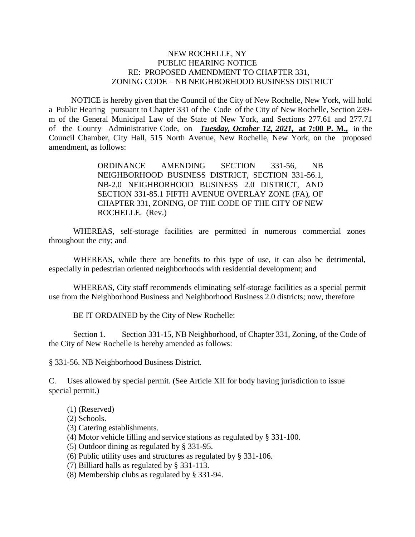## NEW ROCHELLE, NY PUBLIC HEARING NOTICE RE: PROPOSED AMENDMENT TO CHAPTER 331, ZONING CODE – NB NEIGHBORHOOD BUSINESS DISTRICT

 NOTICE is hereby given that the Council of the City of New Rochelle, New York, will hold a Public Hearing pursuant to Chapter 331 of the Code of the City of New Rochelle, Section 239 m of the General Municipal Law of the State of New York, and Sections 277.61 and 277.71 of the County Administrative Code, on *Tuesday, October 12, 2021,* **at 7:00 P. M.,** in the Council Chamber, City Hall, 515 North Avenue, New Rochelle, New York, on the proposed amendment, as follows:

> ORDINANCE AMENDING SECTION 331-56, NB NEIGHBORHOOD BUSINESS DISTRICT, SECTION 331-56.1, NB-2.0 NEIGHBORHOOD BUSINESS 2.0 DISTRICT, AND SECTION 331-85.1 FIFTH AVENUE OVERLAY ZONE (FA), OF CHAPTER 331, ZONING*,* OF THE CODE OF THE CITY OF NEW ROCHELLE. (Rev.)

WHEREAS, self-storage facilities are permitted in numerous commercial zones throughout the city; and

WHEREAS, while there are benefits to this type of use, it can also be detrimental, especially in pedestrian oriented neighborhoods with residential development; and

WHEREAS, City staff recommends eliminating self-storage facilities as a special permit use from the Neighborhood Business and Neighborhood Business 2.0 districts; now, therefore

BE IT ORDAINED by the City of New Rochelle:

Section 1. Section 331-15, NB Neighborhood, of Chapter 331, Zoning, of the Code of the City of New Rochelle is hereby amended as follows:

§ 331-56. NB Neighborhood Business District.

C. Uses allowed by special permit. (See Article XII for body having jurisdiction to issue special permit.)

- (1) (Reserved)
- (2) Schools.
- (3) Catering establishments.
- (4) Motor vehicle filling and service stations as regulated by § 331-100.
- (5) Outdoor dining as regulated by § 331-95.
- (6) Public utility uses and structures as regulated by § 331-106.
- (7) Billiard halls as regulated by § 331-113.
- (8) Membership clubs as regulated by § 331-94.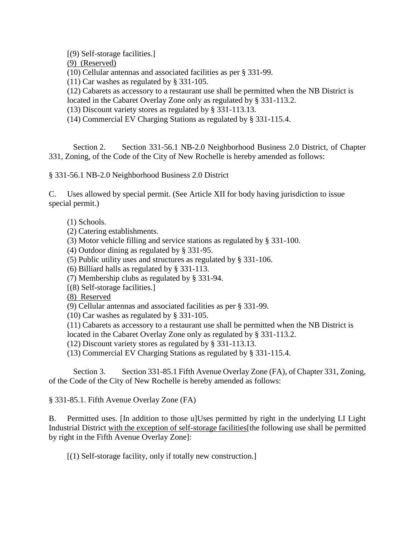(9) (Reserved) (10) Cellular antennas and associated facilities as per § 331-99. (11) Car washes as regulated by § 331-105. (12) Cabarets as accessory to a restaurant use shall be permitted when the NB District is located in the Cabaret Overlay Zone only as regulated by § 331-113.2. (13) Discount variety stores as regulated by § 331-113.13.

(14) Commercial EV Charging Stations as regulated by § 331-115.4.

Section 2. Section 331-56.1 NB-2.0 Neighborhood Business 2.0 District, of Chapter 331, Zoning, of the Code of the City of New Rochelle is hereby amended as follows:

§ 331-56.1 NB-2.0 Neighborhood Business 2.0 District

C. Uses allowed by special permit. (See Article XII for body having jurisdiction to issue special permit.)

- (1) Schools.
- (2) Catering establishments.

[(9) Self-storage facilities.]

- (3) Motor vehicle filling and service stations as regulated by § 331-100.
- (4) Outdoor dining as regulated by § 331-95.
- (5) Public utility uses and structures as regulated by § 331-106.
- (6) Billiard halls as regulated by § 331-113.
- (7) Membership clubs as regulated by § 331-94.
- [(8) Self-storage facilities.]

(8) Reserved

- (9) Cellular antennas and associated facilities as per § 331-99.
- (10) Car washes as regulated by § 331-105.
- (11) Cabarets as accessory to a restaurant use shall be permitted when the NB District is

located in the Cabaret Overlay Zone only as regulated by § 331-113.2.

(12) Discount variety stores as regulated by § 331-113.13.

(13) Commercial EV Charging Stations as regulated by § 331-115.4.

Section 3. Section 331-85.1 Fifth Avenue Overlay Zone (FA), of Chapter 331, Zoning, of the Code of the City of New Rochelle is hereby amended as follows:

§ 331-85.1. Fifth Avenue Overlay Zone (FA)

B. Permitted uses. [In addition to those u]Uses permitted by right in the underlying LI Light Industrial District with the exception of self-storage facilities[the following use shall be permitted by right in the Fifth Avenue Overlay Zone]:

[(1) Self-storage facility, only if totally new construction.]